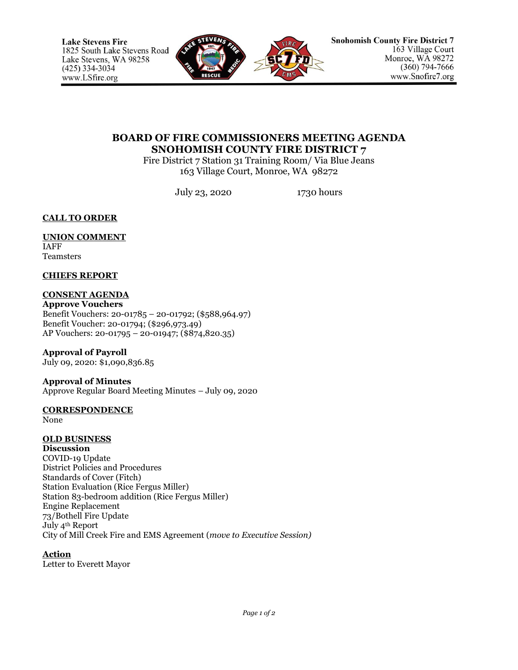

# **BOARD OF FIRE COMMISSIONERS MEETING AGENDA SNOHOMISH COUNTY FIRE DISTRICT 7**

Fire District 7 Station 31 Training Room/ Via Blue Jeans 163 Village Court, Monroe, WA 98272

July 23, 2020 1730 hours

**CALL TO ORDER**

#### **UNION COMMENT** IAFF

Teamsters

# **CHIEFS REPORT**

# **CONSENT AGENDA**

**Approve Vouchers** Benefit Vouchers: 20-01785 – 20-01792; (\$588,964.97) Benefit Voucher: 20-01794; (\$296,973.49) AP Vouchers: 20-01795 – 20-01947; (\$874,820.35)

**Approval of Payroll**

July 09, 2020: \$1,090,836.85

# **Approval of Minutes**

Approve Regular Board Meeting Minutes – July 09, 2020

# **CORRESPONDENCE**

None

# **OLD BUSINESS**

**Discussion** COVID-19 Update District Policies and Procedures Standards of Cover (Fitch) Station Evaluation (Rice Fergus Miller) Station 83-bedroom addition (Rice Fergus Miller) Engine Replacement 73/Bothell Fire Update July 4th Report City of Mill Creek Fire and EMS Agreement (*move to Executive Session)*

# **Action**

Letter to Everett Mayor